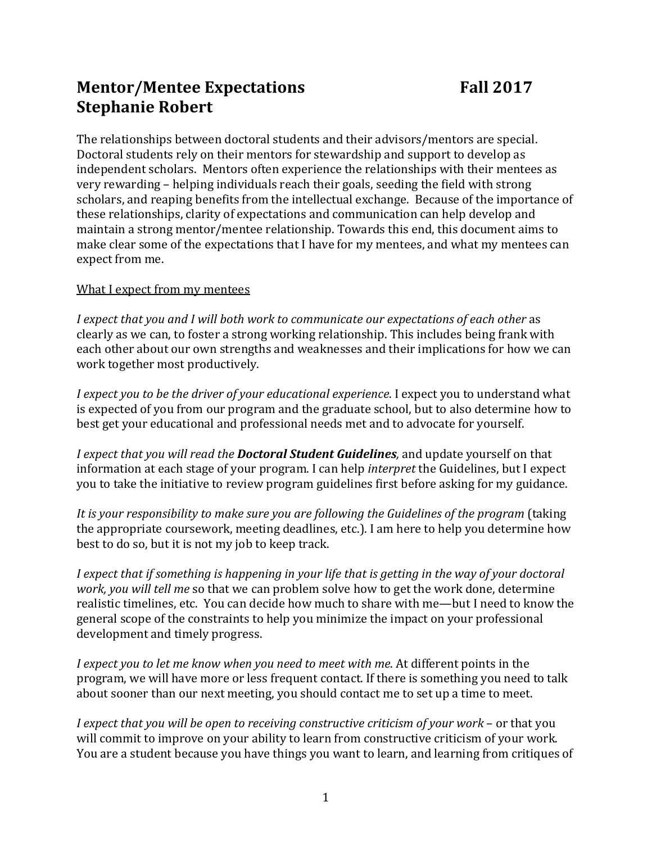## **Mentor/Mentee Expectations Fall 2017 Stephanie Robert**

The relationships between doctoral students and their advisors/mentors are special. Doctoral students rely on their mentors for stewardship and support to develop as independent scholars. Mentors often experience the relationships with their mentees as very rewarding – helping individuals reach their goals, seeding the field with strong scholars, and reaping benefits from the intellectual exchange. Because of the importance of these relationships, clarity of expectations and communication can help develop and maintain a strong mentor/mentee relationship. Towards this end, this document aims to make clear some of the expectations that I have for my mentees, and what my mentees can expect from me.

## What I expect from my mentees

*I expect that you and I will both work to communicate our expectations of each other* as clearly as we can, to foster a strong working relationship. This includes being frank with each other about our own strengths and weaknesses and their implications for how we can work together most productively.

*I expect you to be the driver of your educational experience*. I expect you to understand what is expected of you from our program and the graduate school, but to also determine how to best get your educational and professional needs met and to advocate for yourself.

*I expect that you will read the Doctoral Student Guidelines,* and update yourself on that information at each stage of your program. I can help *interpret* the Guidelines, but I expect you to take the initiative to review program guidelines first before asking for my guidance.

*It is your responsibility to make sure you are following the Guidelines of the program* (taking the appropriate coursework, meeting deadlines, etc.). I am here to help you determine how best to do so, but it is not my job to keep track.

*I expect that if something is happening in your life that is getting in the way of your doctoral work, you will tell me* so that we can problem solve how to get the work done, determine realistic timelines, etc. You can decide how much to share with me—but I need to know the general scope of the constraints to help you minimize the impact on your professional development and timely progress.

*I expect you to let me know when you need to meet with me*. At different points in the program, we will have more or less frequent contact. If there is something you need to talk about sooner than our next meeting, you should contact me to set up a time to meet.

*I expect that you will be open to receiving constructive criticism of your work* – or that you will commit to improve on your ability to learn from constructive criticism of your work. You are a student because you have things you want to learn, and learning from critiques of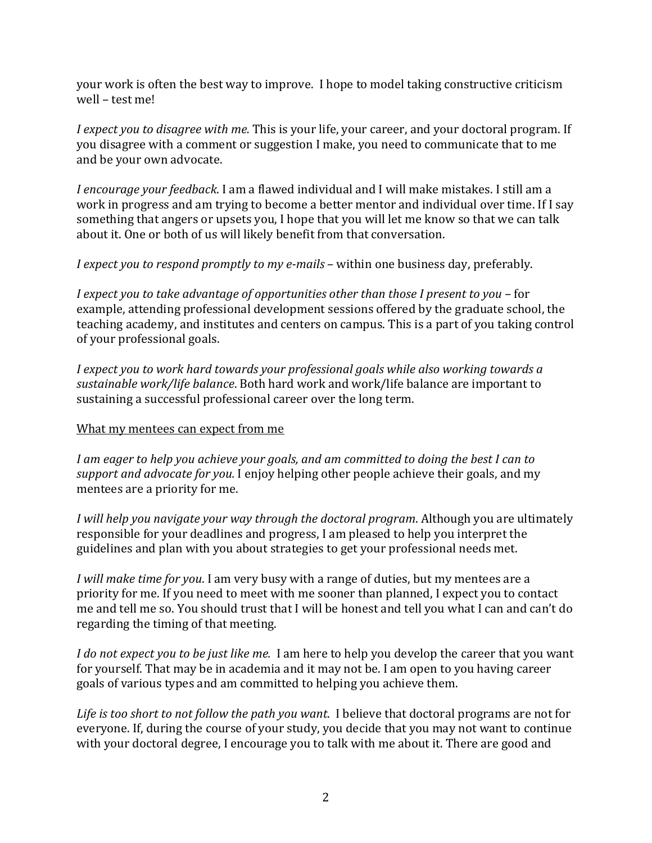your work is often the best way to improve. I hope to model taking constructive criticism well – test me!

*I expect you to disagree with me.* This is your life, your career, and your doctoral program. If you disagree with a comment or suggestion I make, you need to communicate that to me and be your own advocate.

*I encourage your feedback*. I am a flawed individual and I will make mistakes. I still am a work in progress and am trying to become a better mentor and individual over time. If I say something that angers or upsets you, I hope that you will let me know so that we can talk about it. One or both of us will likely benefit from that conversation.

*I expect you to respond promptly to my e-mails* – within one business day, preferably.

*I expect you to take advantage of opportunities other than those I present to you* – for example, attending professional development sessions offered by the graduate school, the teaching academy, and institutes and centers on campus. This is a part of you taking control of your professional goals.

*I expect you to work hard towards your professional goals while also working towards a sustainable work/life balance*. Both hard work and work/life balance are important to sustaining a successful professional career over the long term.

## What my mentees can expect from me

*I am eager to help you achieve your goals, and am committed to doing the best I can to support and advocate for you.* I enjoy helping other people achieve their goals, and my mentees are a priority for me.

*I will help you navigate your way through the doctoral program*. Although you are ultimately responsible for your deadlines and progress, I am pleased to help you interpret the guidelines and plan with you about strategies to get your professional needs met.

*I will make time for you*. I am very busy with a range of duties, but my mentees are a priority for me. If you need to meet with me sooner than planned, I expect you to contact me and tell me so. You should trust that I will be honest and tell you what I can and can't do regarding the timing of that meeting.

*I do not expect you to be just like me.* I am here to help you develop the career that you want for yourself. That may be in academia and it may not be. I am open to you having career goals of various types and am committed to helping you achieve them.

*Life is too short to not follow the path you want*. I believe that doctoral programs are not for everyone. If, during the course of your study, you decide that you may not want to continue with your doctoral degree, I encourage you to talk with me about it. There are good and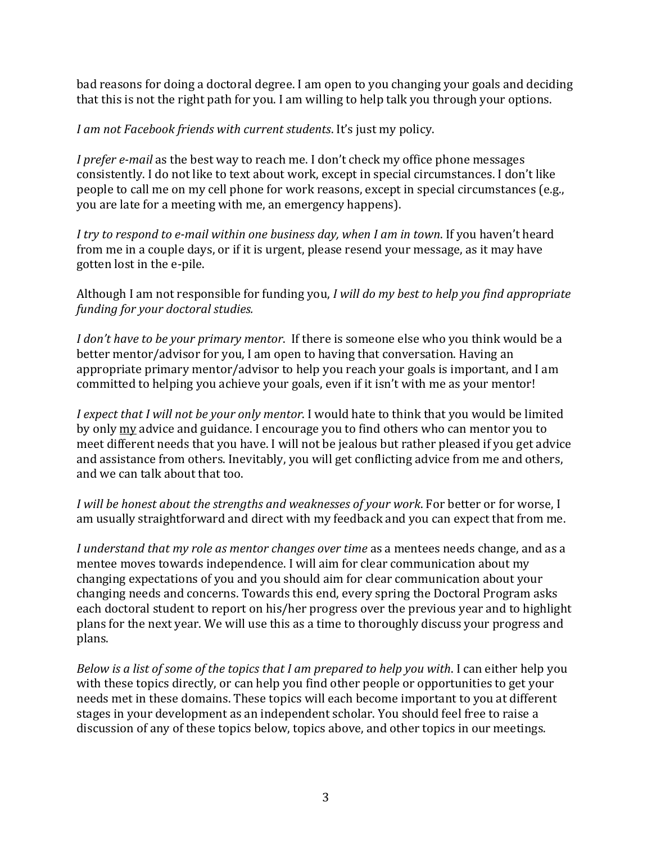bad reasons for doing a doctoral degree. I am open to you changing your goals and deciding that this is not the right path for you. I am willing to help talk you through your options.

*I am not Facebook friends with current students*. It's just my policy.

*I prefer e-mail* as the best way to reach me. I don't check my office phone messages consistently. I do not like to text about work, except in special circumstances. I don't like people to call me on my cell phone for work reasons, except in special circumstances (e.g., you are late for a meeting with me, an emergency happens).

*I try to respond to e-mail within one business day, when I am in town*. If you haven't heard from me in a couple days, or if it is urgent, please resend your message, as it may have gotten lost in the e-pile.

Although I am not responsible for funding you, *I will do my best to help you find appropriate funding for your doctoral studies.*

*I don't have to be your primary mentor*. If there is someone else who you think would be a better mentor/advisor for you, I am open to having that conversation. Having an appropriate primary mentor/advisor to help you reach your goals is important, and I am committed to helping you achieve your goals, even if it isn't with me as your mentor!

*I expect that I will not be your only mentor*. I would hate to think that you would be limited by only my advice and guidance. I encourage you to find others who can mentor you to meet different needs that you have. I will not be jealous but rather pleased if you get advice and assistance from others. Inevitably, you will get conflicting advice from me and others, and we can talk about that too.

*I will be honest about the strengths and weaknesses of your work*. For better or for worse, I am usually straightforward and direct with my feedback and you can expect that from me.

*I understand that my role as mentor changes over time* as a mentees needs change, and as a mentee moves towards independence. I will aim for clear communication about my changing expectations of you and you should aim for clear communication about your changing needs and concerns. Towards this end, every spring the Doctoral Program asks each doctoral student to report on his/her progress over the previous year and to highlight plans for the next year. We will use this as a time to thoroughly discuss your progress and plans.

*Below is a list of some of the topics that I am prepared to help you with*. I can either help you with these topics directly, or can help you find other people or opportunities to get your needs met in these domains. These topics will each become important to you at different stages in your development as an independent scholar. You should feel free to raise a discussion of any of these topics below, topics above, and other topics in our meetings.